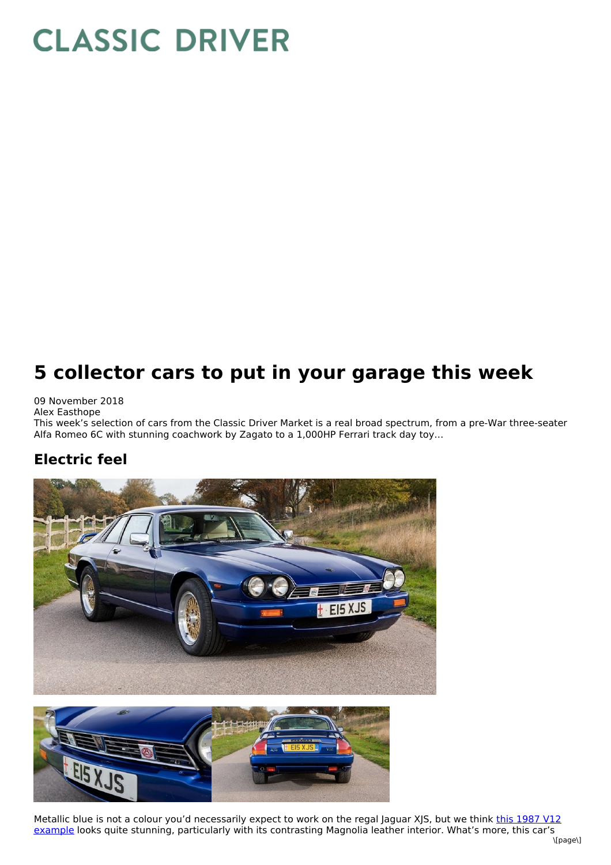# **CLASSIC DRIVER**

# **5 collector cars to put in your garage this week**

09 November 2018 Alex Easthope

This week's selection of cars from the Classic Driver Market is a real broad spectrum, from a pre-War three-seater Alfa Romeo 6C with stunning coachwork by Zagato to a 1,000HP Ferrari track day toy…

#### **Electric feel**





Metallic blue is not a colour you'd [necessarily](https://www.classicdriver.com/en/car/jaguar/xjs/1987/578556) expect to work on the regal Jaguar XJS, but we think this 1987 V12 example looks quite stunning, particularly with its contrasting Magnolia leather interior. What's more, this car's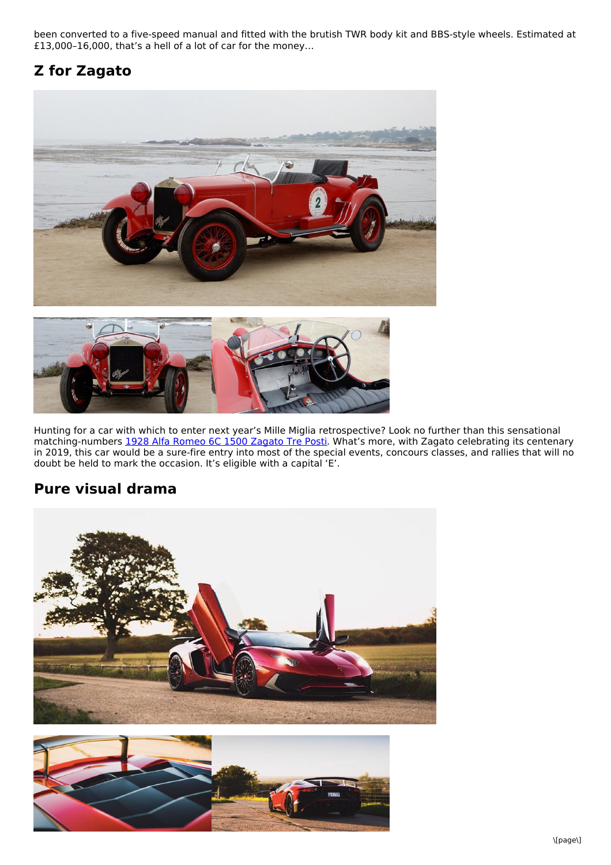been converted to a five-speed manual and fitted with the brutish TWR body kit and BBS-style wheels. Estimated at £13,000–16,000, that's a hell of a lot of car for the money…

### **Z for Zagato**





Hunting for a car with which to enter next year's Mille Miglia retrospective? Look no further than this sensational matching-numbers 1928 Alfa Romeo 6C 1500 [Zagato](https://www.classicdriver.com/en/car/alfa-romeo/6c/1928/579008) Tre Posti. What's more, with Zagato celebrating its centenary in 2019, this car would be a sure-fire entry into most of the special events, concours classes, and rallies that will no doubt be held to mark the occasion. It's eligible with a capital 'E'.

#### **Pure visual drama**



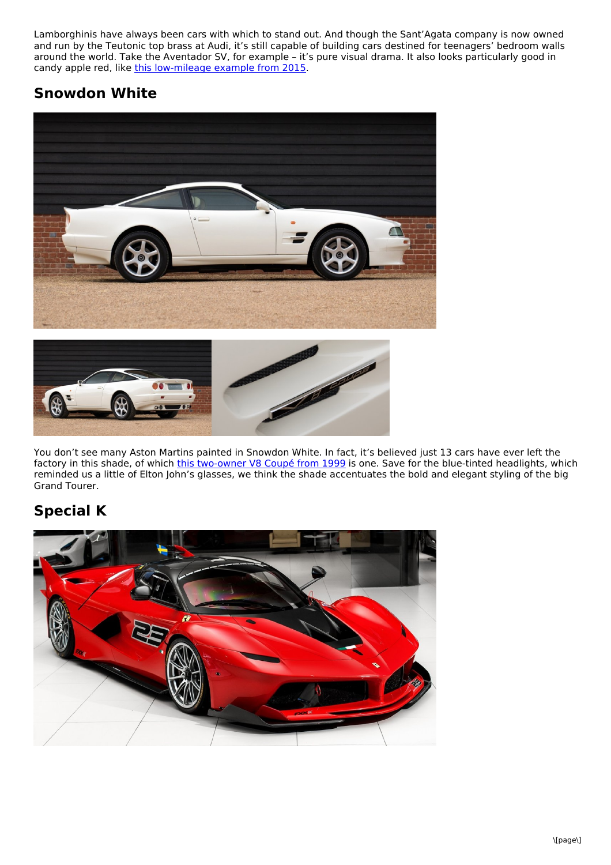Lamborghinis have always been cars with which to stand out. And though the Sant'Agata company is now owned and run by the Teutonic top brass at Audi, it's still capable of building cars destined for teenagers' bedroom walls around the world. Take the Aventador SV, for example – it's pure visual drama. It also looks particularly good in candy apple red, like this [low-mileage](https://www.classicdriver.com/en/car/lamborghini/aventador/2015/579011) example from 2015.

#### **Snowdon White**





You don't see many Aston Martins painted in Snowdon White. In fact, it's believed just 13 cars have ever left the factory in this shade, of which this [two-owner](https://www.classicdriver.com/en/car/aston-martin/v8-coupe/1999/578984) V8 Coupé from 1999 is one. Save for the blue-tinted headlights, which reminded us a little of Elton John's glasses, we think the shade accentuates the bold and elegant styling of the big Grand Tourer.

## **Special K**